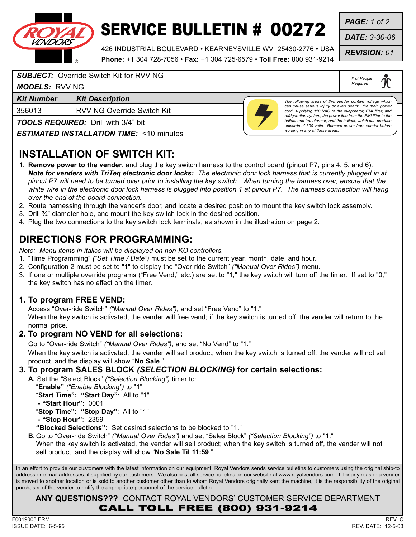

# SERVICE BULLETIN # 00272

426 INDUSTRIAL BOULEVARD • KEARNEYSVILLE WV 25430-2776 • USA **Phone:** +1 304 728-7056 • **Fax:** +1 304 725-6579 • **Toll Free:** 800 931-9214 *PAGE: 1 of 2*

*DATE: 3-30-06*

*REVISION: 01*

*# of People Required*

#### *SUBJECT:* Override Switch Kit for RVV NG

#### *MODELS:* RVV NG

**Kit Number | Kit Description** 

356013 RVV NG Override Switch Kit

*TOOLS REQUIRED:* Drill with 3/4" bit

*ESTIMATED INSTALLATION TIME:* <10 minutes



*The following areas of this vender contain voltage which can cause serious injury or even death: the main power cord, supplying 110 VAC to the evaporator, EMI filter, and refrigeration system; the power line from the EMI filter to the ballast and transformer; and the ballast, which can produce upwards of 600 volts. Remove power from vender before working in any of these areas.*

### **INSTALLATION OF SWITCH KIT:**

- 1. **Remove power to the vender**, and plug the key switch harness to the control board (pinout P7, pins 4, 5, and 6). *Note for venders with TriTeq electronic door locks: The electronic door lock harness that is currently plugged in at pinout P7 will need to be turned over prior to installing the key switch. When turning the harness over, ensure that the white wire in the electronic door lock harness is plugged into position 1 at pinout P7. The harness connection will hang over the end of the board connection.*
- 2. Route harnessing through the vender's door, and locate a desired position to mount the key switch lock assembly.
- 3. Drill ¾" diameter hole, and mount the key switch lock in the desired position.
- 4. Plug the two connections to the key switch lock terminals, as shown in the illustration on page 2.

### **DIRECTIONS FOR PROGRAMMING:**

*Note: Menu items in italics will be displayed on non-KO controllers.*

- 1. "Time Programming" *("Set Time / Date")* must be set to the current year, month, date, and hour.
- 2. Configuration 2 must be set to "1" to display the "Over-ride Switch" *("Manual Over Rides")* menu.
- 3. If one or multiple override programs ("Free Vend," etc.) are set to "1," the key switch will turn off the timer. If set to "0," the key switch has no effect on the timer.

#### **1. To program FREE VEND:**

Access "Over-ride Switch" *("Manual Over Rides")*, and set "Free Vend" to "1."

When the key switch is activated, the vender will free vend; if the key switch is turned off, the vender will return to the normal price.

#### **2. To program NO VEND for all selections:**

Go to "Over-ride Switch" *("Manual Over Rides")*, and set "No Vend" to "1."

When the key switch is activated, the vender will sell product; when the key switch is turned off, the vender will not sell product, and the display will show "**No Sale**."

#### **3. To program SALES BLOCK** *(SELECTION BLOCKING)* **for certain selections:**

**A.** Set the "Select Block" *("Selection Blocking")* timer to: "**Enable"** *("Enable Blocking")* to "1" "**Start Time": "Start Day"**: All to "1"

**- "Start Hour"**: 0001

"**Stop Time": "Stop Day"**: All to "1"

**- "Stop Hour"**: 2359

**"Blocked Selections":** Set desired selections to be blocked to "1."

**B.** Go to "Over-ride Switch" *("Manual Over Rides")* and set "Sales Block" *("Selection Blocking")* to "1."

When the key switch is activated, the vender will sell product; when the key switch is turned off, the vender will not sell product, and the display will show "**No Sale Til 11:59**."

In an effort to provide our customers with the latest information on our equipment, Royal Vendors sends service bulletins to customers using the original ship-to address or e-mail addresses, if supplied by our customers. We also post all service bulletins on our website at www.royalvendors.com. If for any reason a vender is moved to another location or is sold to another customer other than to whom Royal Vendors originally sent the machine, it is the responsibility of the original purchaser of the vender to notify the appropriate personnel of the service bulletin.

**ANY QUESTIONS???** CONTACT ROYAL VENDORS' CUSTOMER SERVICE DEPARTMENT CALL TOLL FREE (800) 931-9214